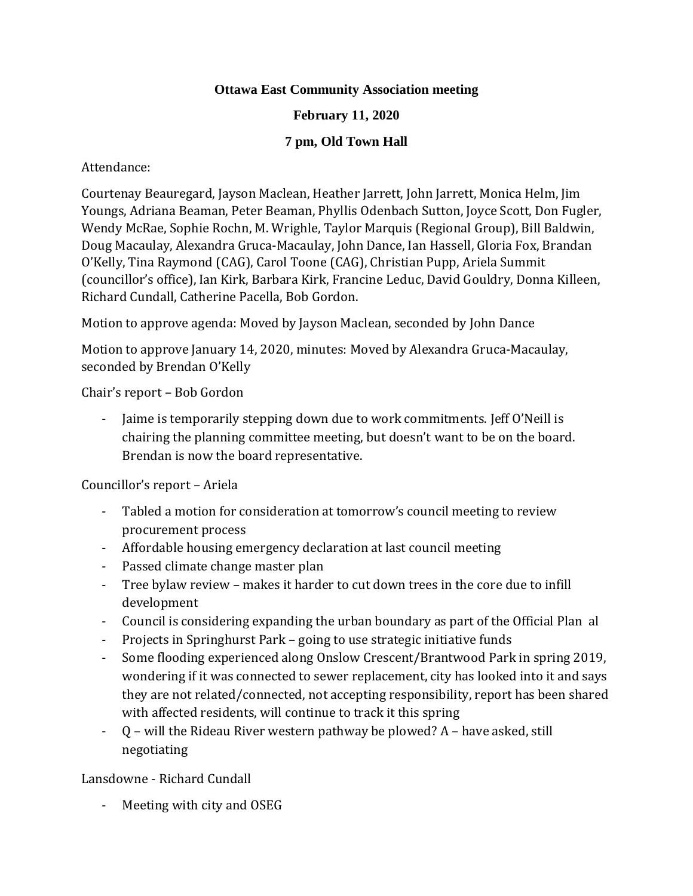# **Ottawa East Community Association meeting**

# **February 11, 2020**

# **7 pm, Old Town Hall**

# Attendance:

Courtenay Beauregard, Jayson Maclean, Heather Jarrett, John Jarrett, Monica Helm, Jim Youngs, Adriana Beaman, Peter Beaman, Phyllis Odenbach Sutton, Joyce Scott, Don Fugler, Wendy McRae, Sophie Rochn, M. Wrighle, Taylor Marquis (Regional Group), Bill Baldwin, Doug Macaulay, Alexandra Gruca-Macaulay, John Dance, Ian Hassell, Gloria Fox, Brandan O'Kelly, Tina Raymond (CAG), Carol Toone (CAG), Christian Pupp, Ariela Summit (councillor's office), Ian Kirk, Barbara Kirk, Francine Leduc, David Gouldry, Donna Killeen, Richard Cundall, Catherine Pacella, Bob Gordon.

Motion to approve agenda: Moved by Jayson Maclean, seconded by John Dance

Motion to approve January 14, 2020, minutes: Moved by Alexandra Gruca-Macaulay, seconded by Brendan O'Kelly

Chair's report – Bob Gordon

- Jaime is temporarily stepping down due to work commitments. Jeff O'Neill is chairing the planning committee meeting, but doesn't want to be on the board. Brendan is now the board representative.

Councillor's report – Ariela

- Tabled a motion for consideration at tomorrow's council meeting to review procurement process
- Affordable housing emergency declaration at last council meeting
- Passed climate change master plan
- Tree bylaw review makes it harder to cut down trees in the core due to infill development
- Council is considering expanding the urban boundary as part of the Official Plan al
- Projects in Springhurst Park going to use strategic initiative funds
- Some flooding experienced along Onslow Crescent/Brantwood Park in spring 2019, wondering if it was connected to sewer replacement, city has looked into it and says they are not related/connected, not accepting responsibility, report has been shared with affected residents, will continue to track it this spring
- Q will the Rideau River western pathway be plowed? A have asked, still negotiating

Lansdowne - Richard Cundall

- Meeting with city and OSEG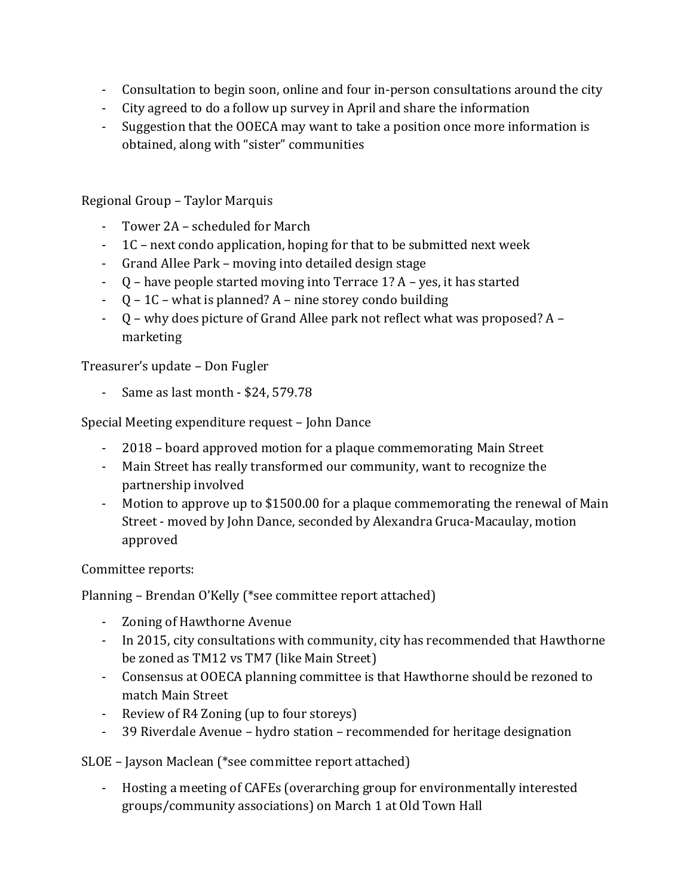- Consultation to begin soon, online and four in-person consultations around the city
- City agreed to do a follow up survey in April and share the information
- Suggestion that the OOECA may want to take a position once more information is obtained, along with "sister" communities

Regional Group – Taylor Marquis

- Tower 2A scheduled for March
- 1C next condo application, hoping for that to be submitted next week
- Grand Allee Park moving into detailed design stage
- Q have people started moving into Terrace 1? A yes, it has started
- $-Q-1C$  what is planned? A nine storey condo building
- Q why does picture of Grand Allee park not reflect what was proposed? A marketing

Treasurer's update – Don Fugler

- Same as last month - \$24, 579.78

Special Meeting expenditure request – John Dance

- 2018 board approved motion for a plaque commemorating Main Street
- Main Street has really transformed our community, want to recognize the partnership involved
- Motion to approve up to \$1500.00 for a plaque commemorating the renewal of Main Street - moved by John Dance, seconded by Alexandra Gruca-Macaulay, motion approved

Committee reports:

Planning – Brendan O'Kelly (\*see committee report attached)

- Zoning of Hawthorne Avenue
- In 2015, city consultations with community, city has recommended that Hawthorne be zoned as TM12 vs TM7 (like Main Street)
- Consensus at OOECA planning committee is that Hawthorne should be rezoned to match Main Street
- Review of R4 Zoning (up to four storeys)
- 39 Riverdale Avenue hydro station recommended for heritage designation

SLOE – Jayson Maclean (\*see committee report attached)

- Hosting a meeting of CAFEs (overarching group for environmentally interested groups/community associations) on March 1 at Old Town Hall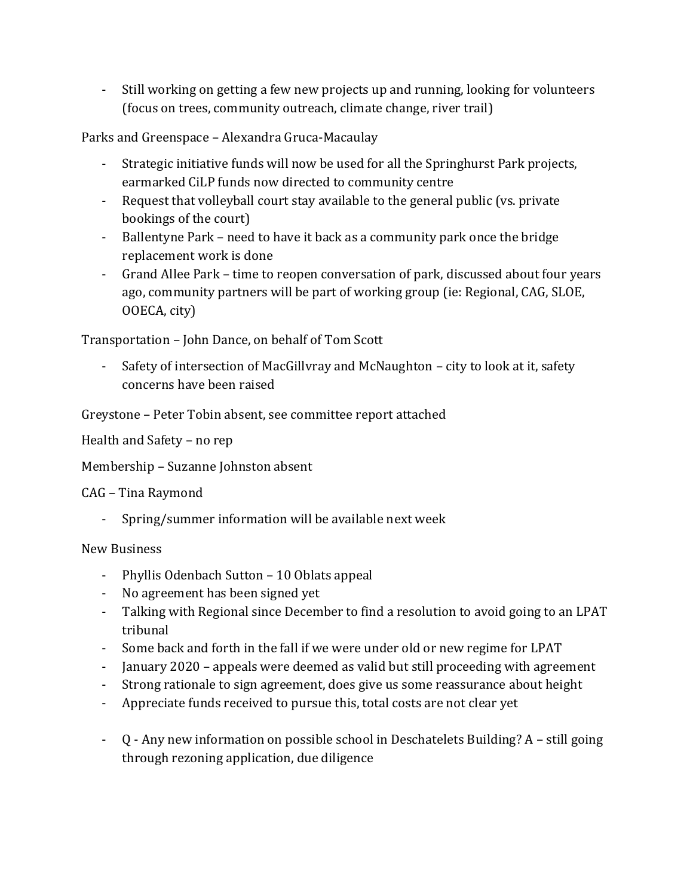- Still working on getting a few new projects up and running, looking for volunteers (focus on trees, community outreach, climate change, river trail)

Parks and Greenspace – Alexandra Gruca-Macaulay

- Strategic initiative funds will now be used for all the Springhurst Park projects, earmarked CiLP funds now directed to community centre
- Request that volleyball court stay available to the general public (vs. private bookings of the court)
- Ballentyne Park need to have it back as a community park once the bridge replacement work is done
- Grand Allee Park time to reopen conversation of park, discussed about four years ago, community partners will be part of working group (ie: Regional, CAG, SLOE, OOECA, city)

Transportation – John Dance, on behalf of Tom Scott

- Safety of intersection of MacGillvray and McNaughton – city to look at it, safety concerns have been raised

Greystone – Peter Tobin absent, see committee report attached

Health and Safety – no rep

Membership – Suzanne Johnston absent

CAG – Tina Raymond

- Spring/summer information will be available next week

New Business

- Phyllis Odenbach Sutton 10 Oblats appeal
- No agreement has been signed yet
- Talking with Regional since December to find a resolution to avoid going to an LPAT tribunal
- Some back and forth in the fall if we were under old or new regime for LPAT
- January 2020 appeals were deemed as valid but still proceeding with agreement
- Strong rationale to sign agreement, does give us some reassurance about height
- Appreciate funds received to pursue this, total costs are not clear yet
- Q Any new information on possible school in Deschatelets Building? A still going through rezoning application, due diligence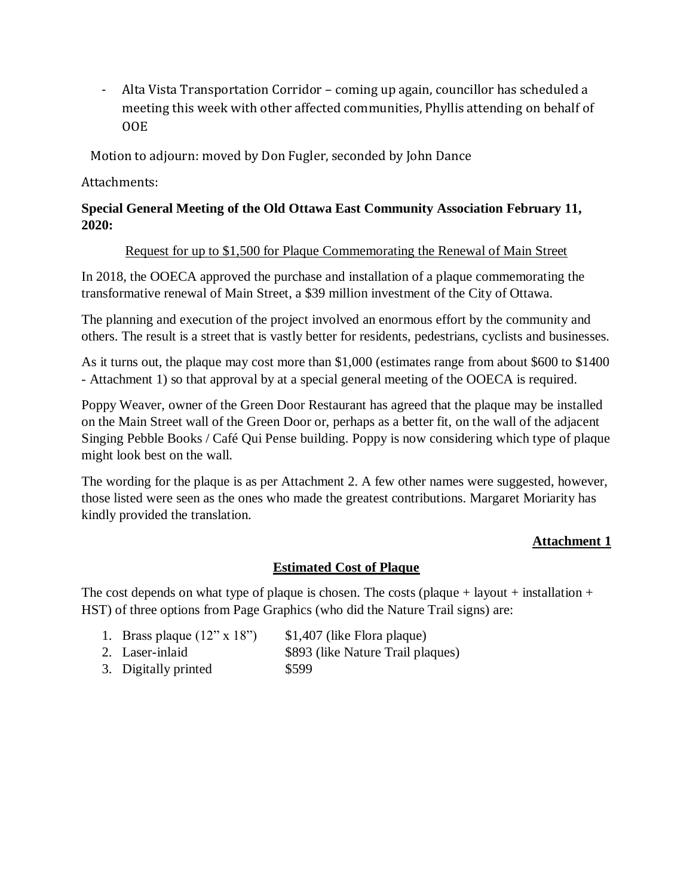- Alta Vista Transportation Corridor – coming up again, councillor has scheduled a meeting this week with other affected communities, Phyllis attending on behalf of OOE

Motion to adjourn: moved by Don Fugler, seconded by John Dance

Attachments:

# **Special General Meeting of the Old Ottawa East Community Association February 11, 2020:**

#### Request for up to \$1,500 for Plaque Commemorating the Renewal of Main Street

In 2018, the OOECA approved the purchase and installation of a plaque commemorating the transformative renewal of Main Street, a \$39 million investment of the City of Ottawa.

The planning and execution of the project involved an enormous effort by the community and others. The result is a street that is vastly better for residents, pedestrians, cyclists and businesses.

As it turns out, the plaque may cost more than \$1,000 (estimates range from about \$600 to \$1400 - Attachment 1) so that approval by at a special general meeting of the OOECA is required.

Poppy Weaver, owner of the Green Door Restaurant has agreed that the plaque may be installed on the Main Street wall of the Green Door or, perhaps as a better fit, on the wall of the adjacent Singing Pebble Books / Café Qui Pense building. Poppy is now considering which type of plaque might look best on the wall.

The wording for the plaque is as per Attachment 2. A few other names were suggested, however, those listed were seen as the ones who made the greatest contributions. Margaret Moriarity has kindly provided the translation.

# **Attachment 1**

# **Estimated Cost of Plaque**

The cost depends on what type of plaque is chosen. The costs (plaque + layout + installation + HST) of three options from Page Graphics (who did the Nature Trail signs) are:

- 1. Brass plaque  $(12" \times 18")$  \$1,407 (like Flora plaque)
- 2. Laser-inlaid \$893 (like Nature Trail plaques)
- 3. Digitally printed \$599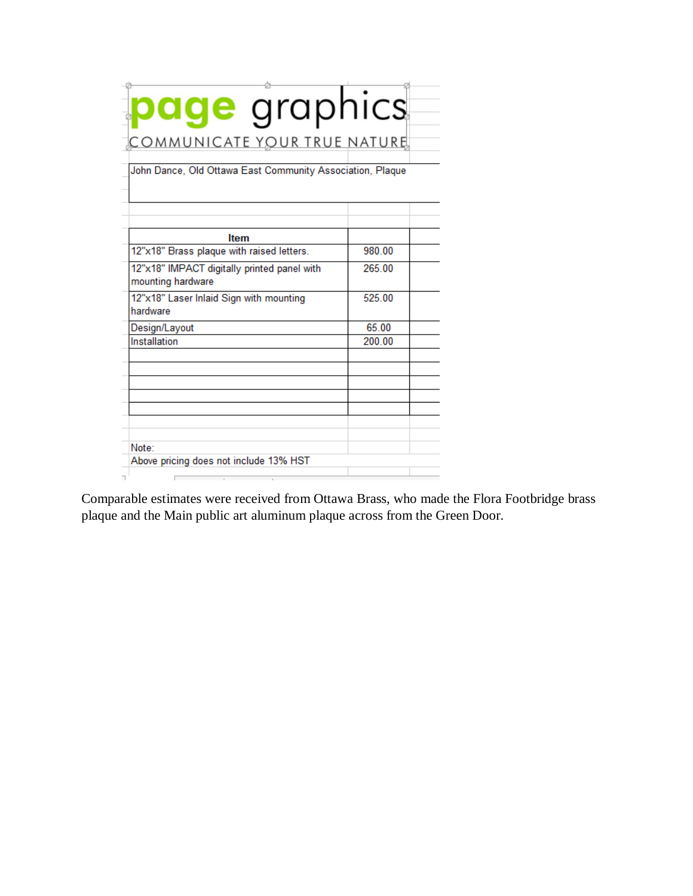| <b>page</b> graphics<br>COMMUNICATE YOUR TRUE NATURE<br>John Dance, Old Ottawa East Community Association, Plaque |        |
|-------------------------------------------------------------------------------------------------------------------|--------|
|                                                                                                                   |        |
| <b>Item</b><br>12"x18" Brass plaque with raised letters.                                                          | 980.00 |
| 12"x18" IMPACT digitally printed panel with<br>mounting hardware                                                  | 265.00 |
| 12"x18" Laser Inlaid Sign with mounting<br>hardware                                                               | 525.00 |
| Design/Layout                                                                                                     | 65.00  |
| Installation                                                                                                      | 200.00 |
|                                                                                                                   |        |
|                                                                                                                   |        |
|                                                                                                                   |        |
|                                                                                                                   |        |

Comparable estimates were received from Ottawa Brass, who made the Flora Footbridge brass plaque and the Main public art aluminum plaque across from the Green Door.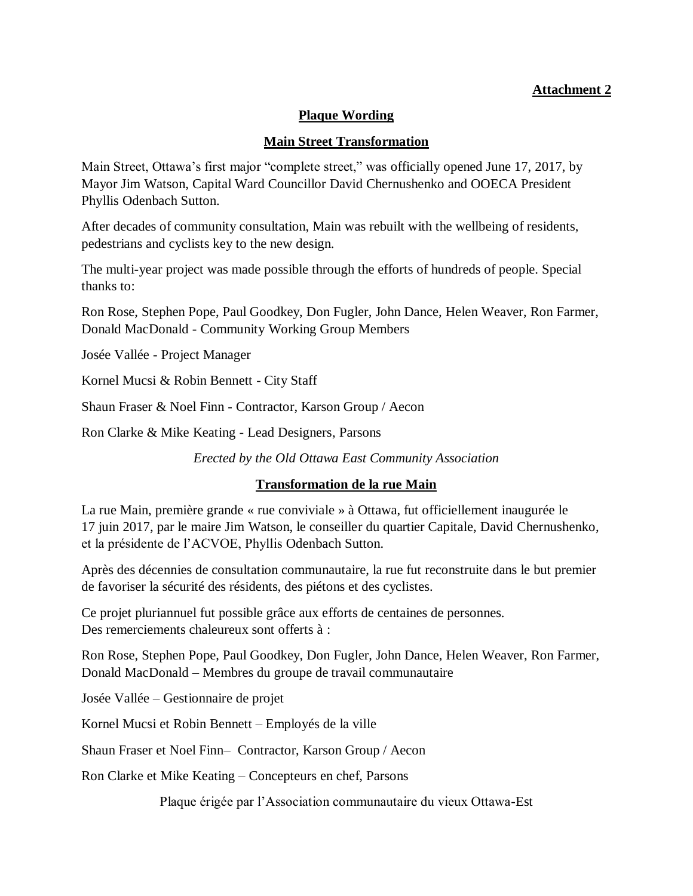# **Attachment 2**

#### **Plaque Wording**

#### **Main Street Transformation**

Main Street, Ottawa's first major "complete street," was officially opened June 17, 2017, by Mayor Jim Watson, Capital Ward Councillor David Chernushenko and OOECA President Phyllis Odenbach Sutton.

After decades of community consultation, Main was rebuilt with the wellbeing of residents, pedestrians and cyclists key to the new design.

The multi-year project was made possible through the efforts of hundreds of people. Special thanks to:

Ron Rose, Stephen Pope, Paul Goodkey, Don Fugler, John Dance, Helen Weaver, Ron Farmer, Donald MacDonald - Community Working Group Members

Josée Vallée - Project Manager

Kornel Mucsi & Robin Bennett - City Staff

Shaun Fraser & Noel Finn - Contractor, Karson Group / Aecon

Ron Clarke & Mike Keating - Lead Designers, Parsons

*Erected by the Old Ottawa East Community Association*

# **Transformation de la rue Main**

La rue Main, première grande « rue conviviale » à Ottawa, fut officiellement inaugurée le 17 juin 2017, par le maire Jim Watson, le conseiller du quartier Capitale, David Chernushenko, et la présidente de l'ACVOE, Phyllis Odenbach Sutton.

Après des décennies de consultation communautaire, la rue fut reconstruite dans le but premier de favoriser la sécurité des résidents, des piétons et des cyclistes.

Ce projet pluriannuel fut possible grâce aux efforts de centaines de personnes. Des remerciements chaleureux sont offerts à :

Ron Rose, Stephen Pope, Paul Goodkey, Don Fugler, John Dance, Helen Weaver, Ron Farmer, Donald MacDonald – Membres du groupe de travail communautaire

Josée Vallée – Gestionnaire de projet

Kornel Mucsi et Robin Bennett – Employés de la ville

Shaun Fraser et Noel Finn– Contractor, Karson Group / Aecon

Ron Clarke et Mike Keating – Concepteurs en chef, Parsons

Plaque érigée par l'Association communautaire du vieux Ottawa-Est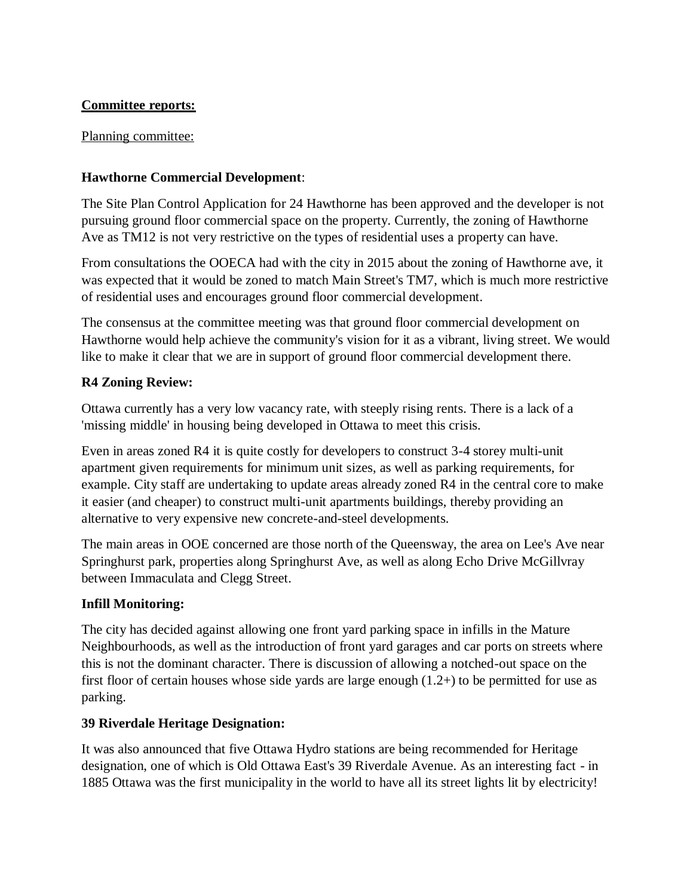# **Committee reports:**

Planning committee:

# **Hawthorne Commercial Development**:

The Site Plan Control Application for 24 Hawthorne has been approved and the developer is not pursuing ground floor commercial space on the property. Currently, the zoning of Hawthorne Ave as TM12 is not very restrictive on the types of residential uses a property can have.

From consultations the OOECA had with the city in 2015 about the zoning of Hawthorne ave, it was expected that it would be zoned to match Main Street's TM7, which is much more restrictive of residential uses and encourages ground floor commercial development.

The consensus at the committee meeting was that ground floor commercial development on Hawthorne would help achieve the community's vision for it as a vibrant, living street. We would like to make it clear that we are in support of ground floor commercial development there.

# **R4 Zoning Review:**

Ottawa currently has a very low vacancy rate, with steeply rising rents. There is a lack of a 'missing middle' in housing being developed in Ottawa to meet this crisis.

Even in areas zoned R4 it is quite costly for developers to construct 3-4 storey multi-unit apartment given requirements for minimum unit sizes, as well as parking requirements, for example. City staff are undertaking to update areas already zoned R4 in the central core to make it easier (and cheaper) to construct multi-unit apartments buildings, thereby providing an alternative to very expensive new concrete-and-steel developments.

The main areas in OOE concerned are those north of the Queensway, the area on Lee's Ave near Springhurst park, properties along Springhurst Ave, as well as along Echo Drive McGillvray between Immaculata and Clegg Street.

# **Infill Monitoring:**

The city has decided against allowing one front yard parking space in infills in the Mature Neighbourhoods, as well as the introduction of front yard garages and car ports on streets where this is not the dominant character. There is discussion of allowing a notched-out space on the first floor of certain houses whose side yards are large enough (1.2+) to be permitted for use as parking.

# **39 Riverdale Heritage Designation:**

It was also announced that five Ottawa Hydro stations are being recommended for Heritage designation, one of which is Old Ottawa East's 39 Riverdale Avenue. As an interesting fact - in 1885 Ottawa was the first municipality in the world to have all its street lights lit by electricity!